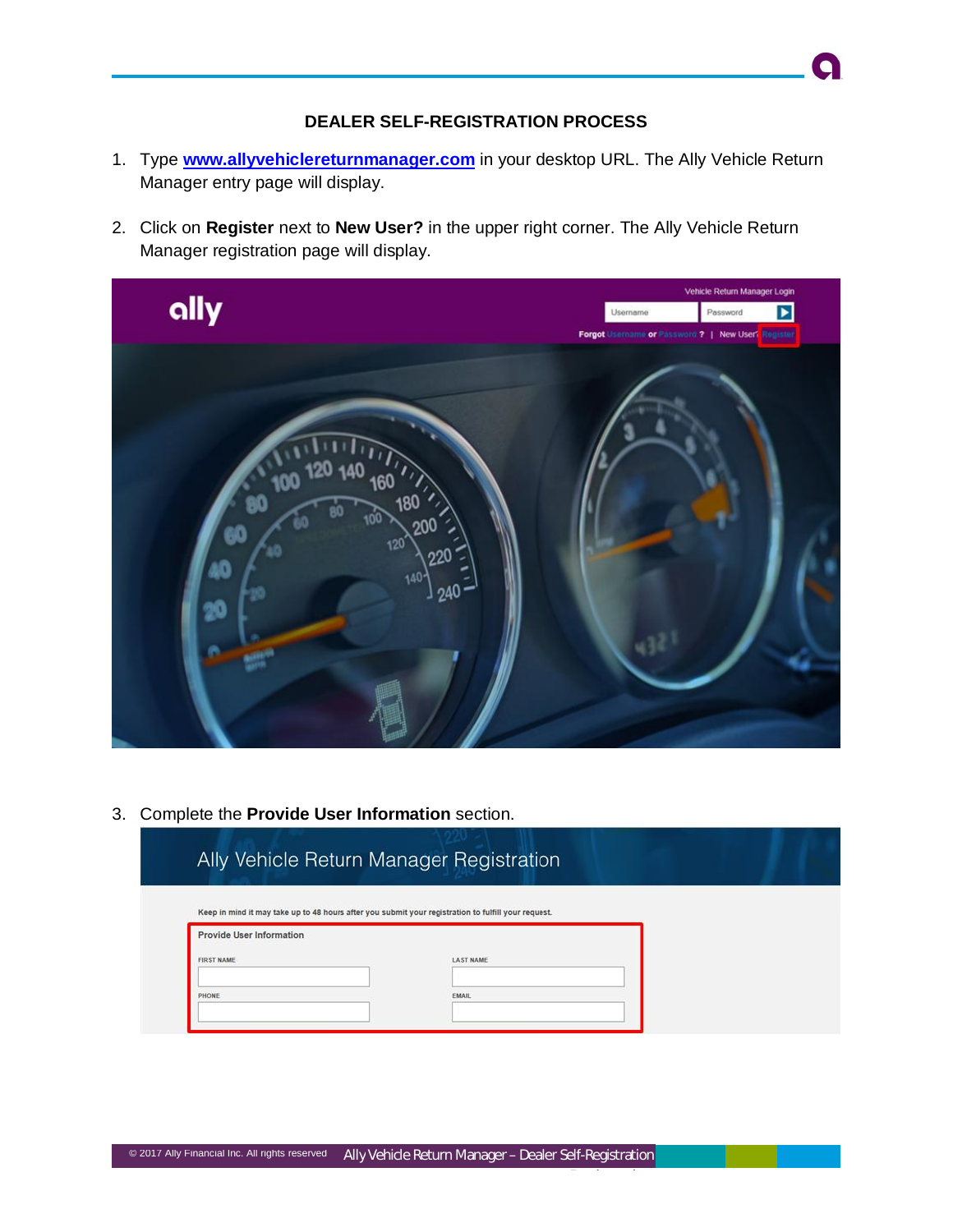# **DEALER SELF-REGISTRATION PROCESS**

 $\bullet$ 

- 1. Type **[www.allyvehiclereturnmanager.com](http://www.allyvehiclereturnmanager.com/)** in your desktop URL. The Ally Vehicle Return Manager entry page will display.
- 2. Click on **Register** next to **New User?** in the upper right corner. The Ally Vehicle Return Manager registration page will display.



3. Complete the **Provide User Information** section.

|                          | Keep in mind it may take up to 48 hours after you submit your registration to fulfill your request. |  |
|--------------------------|-----------------------------------------------------------------------------------------------------|--|
| Provide User Information |                                                                                                     |  |
|                          |                                                                                                     |  |
|                          |                                                                                                     |  |
| FIRST NAME               | <b>LAST NAME</b>                                                                                    |  |
|                          |                                                                                                     |  |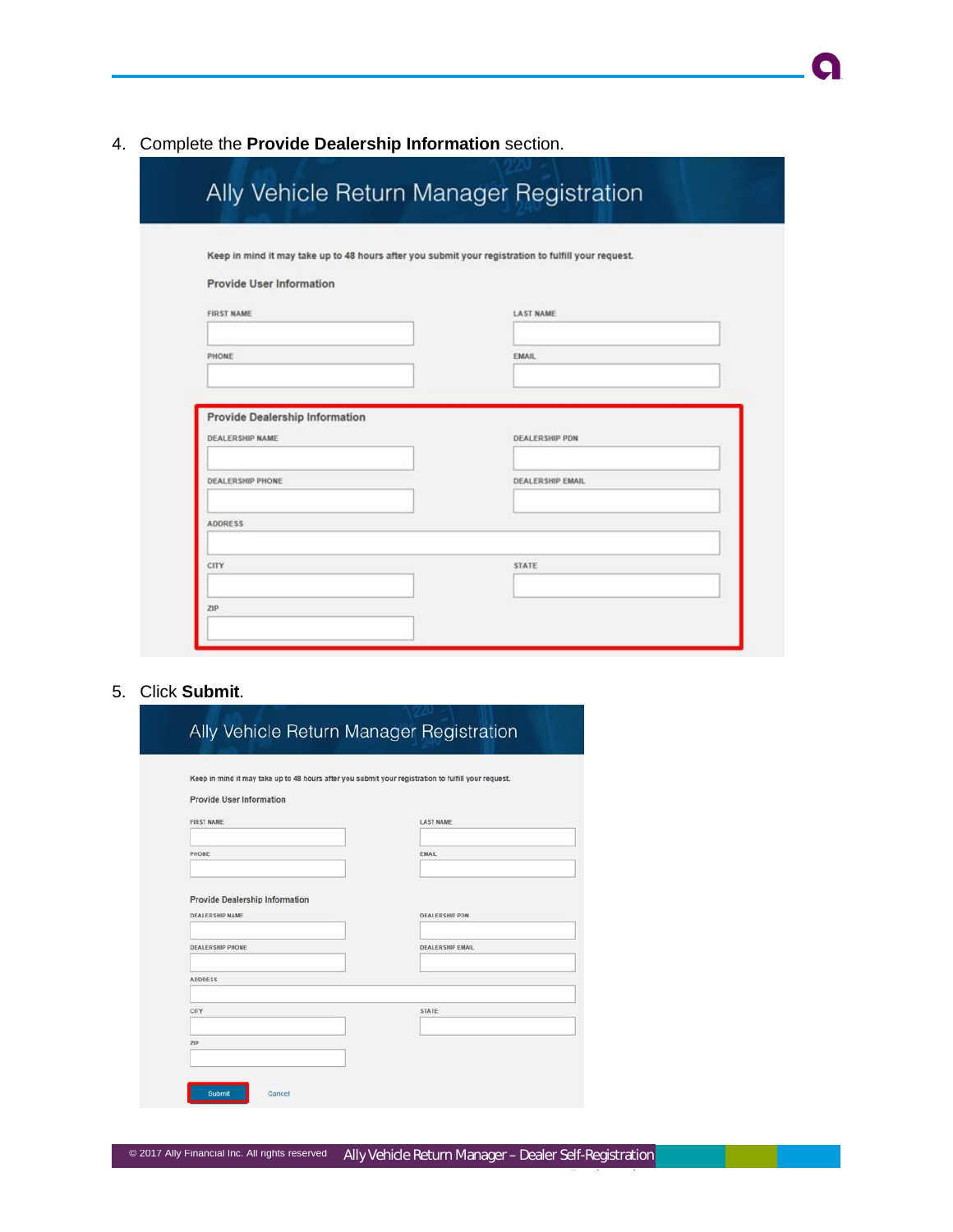4. Complete the **Provide Dealership Information** section.

|                                                          | Keep in mind it may take up to 48 hours after you submit your registration to fulfill your request. |
|----------------------------------------------------------|-----------------------------------------------------------------------------------------------------|
| Provide User Information                                 |                                                                                                     |
| <b>FIRST NAME</b>                                        | <b>LAST NAME</b>                                                                                    |
| PHONE                                                    | EMAIL                                                                                               |
| Provide Dealership Information<br><b>DEALERSHIP NAME</b> | <b>DEALERSHIP PDN</b>                                                                               |
|                                                          |                                                                                                     |
| <b>DEALERSHIP PHONE</b>                                  | <b>DEALERSHIP EMAIL</b>                                                                             |
| <b>ADORESS</b>                                           |                                                                                                     |

Q

#### 5. Click **Submit**.

| Keep in mind it may take up to 48 hours after you submit your registration to fulfill your request. |
|-----------------------------------------------------------------------------------------------------|
|                                                                                                     |
| <b>LAST NAME</b>                                                                                    |
|                                                                                                     |
| <b>EMAIL</b>                                                                                        |
|                                                                                                     |
| <b>DEALERSHIP PDN</b><br><b>DEALERSHIP EMAIL</b>                                                    |
|                                                                                                     |
| <b>STATE</b>                                                                                        |
|                                                                                                     |
|                                                                                                     |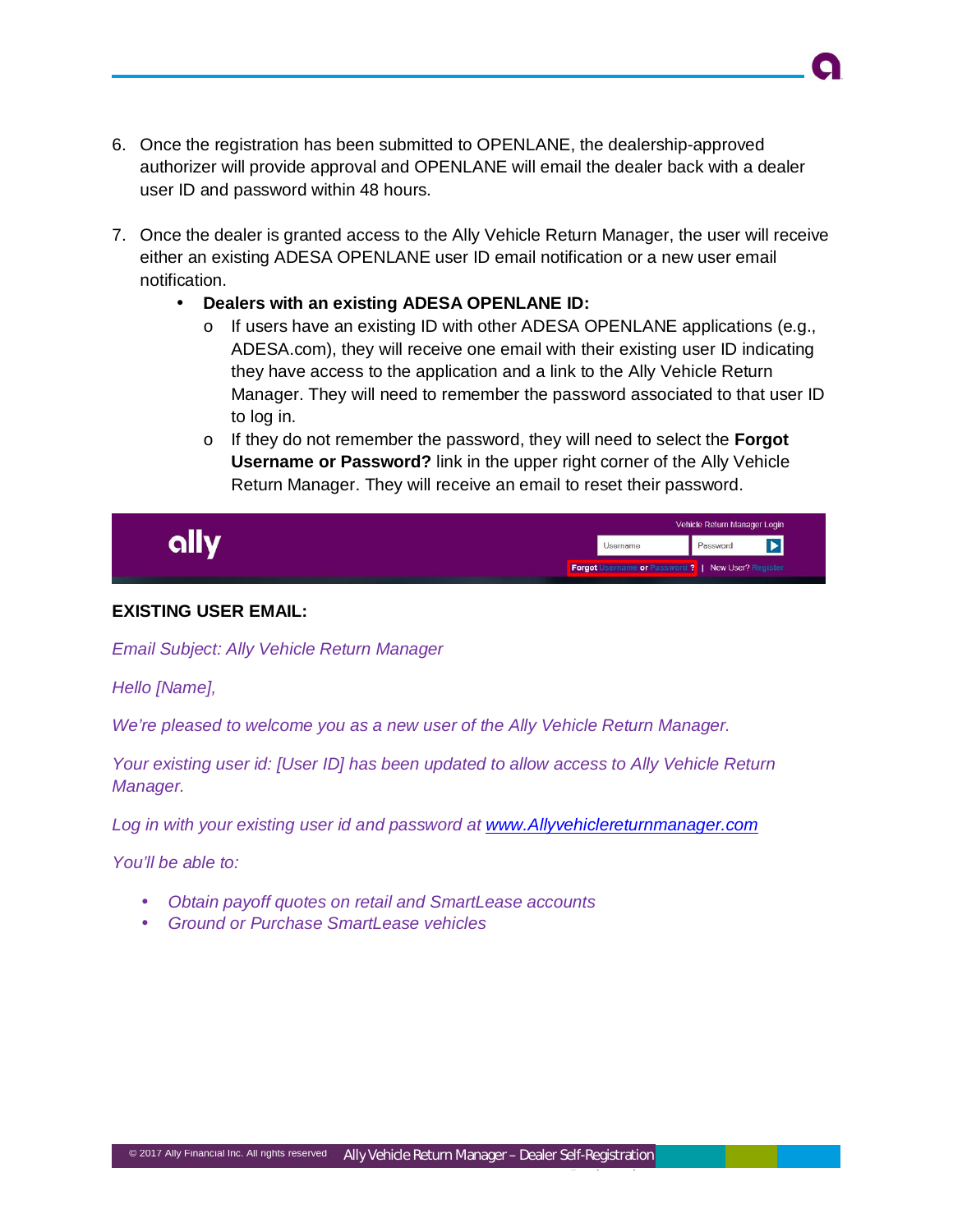- 6. Once the registration has been submitted to OPENLANE, the dealership-approved authorizer will provide approval and OPENLANE will email the dealer back with a dealer user ID and password within 48 hours.
- 7. Once the dealer is granted access to the Ally Vehicle Return Manager, the user will receive either an existing ADESA OPENLANE user ID email notification or a new user email notification.
	- $\mathbf{r}$ **Dealers with an existing ADESA OPENLANE ID:**
		- $\circ$  If users have an existing ID with other ADESA OPENLANE applications (e.g., ADESA.com), they will receive one email with their existing user ID indicating they have access to the application and a link to the Ally Vehicle Return Manager. They will need to remember the password associated to that user ID to log in.
		- o If they do not remember the password, they will need to select the **Forgot Username or Password?** link in the upper right corner of the Ally Vehicle Return Manager. They will receive an email to reset their password.

## **EXISTING USER EMAIL:**

*Email Subject: Ally Vehicle Return Manager*

#### *Hello [Name],*

*We're pleased to welcome you as a new user of the Ally Vehicle Return Manager.*

*Your existing user id: [User ID] has been updated to allow access to Ally Vehicle Return Manager.*

*Log in with your existing user id and password at [www.Allyvehiclereturnmanager.com](http://www.allyvehiclereturnmanager.com/)*

*You'll be able to:*

- *Obtain payoff quotes on retail and SmartLease accounts*
- *Ground or Purchase SmartLease vehicles*